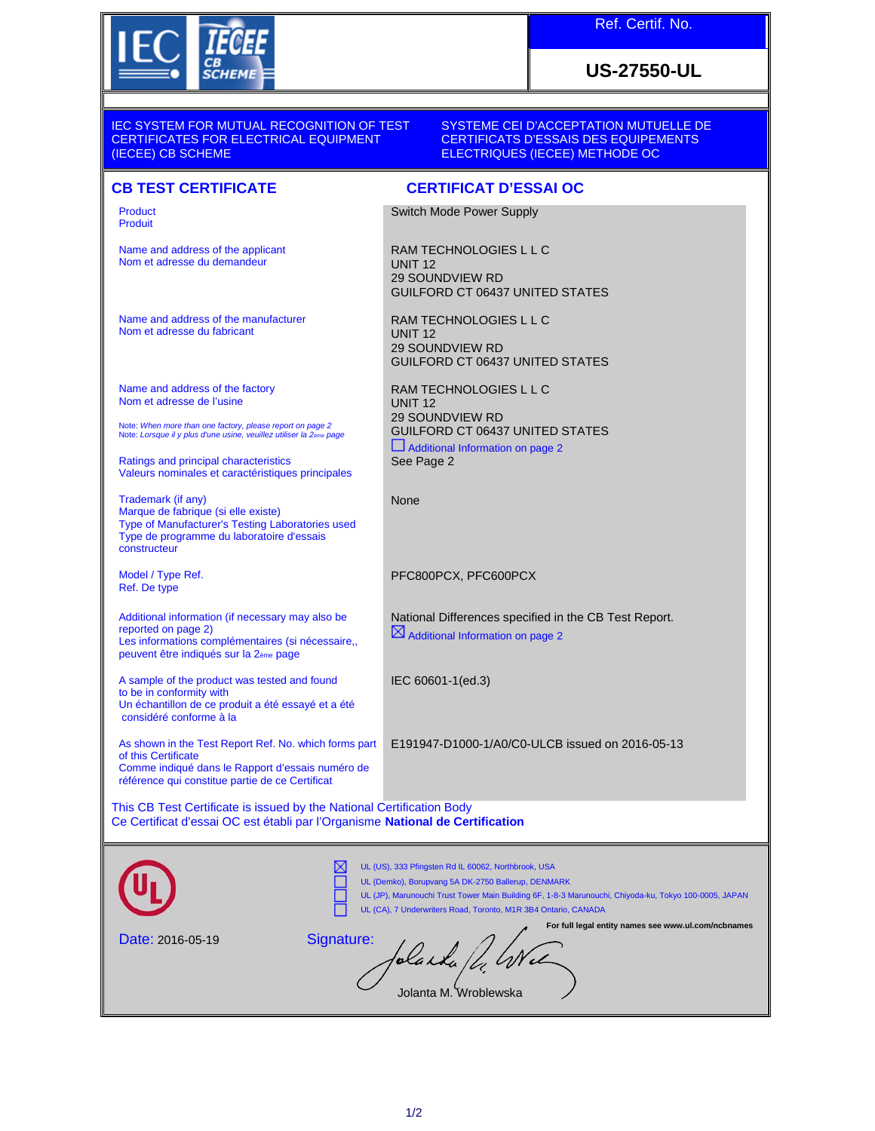

Name and address of the applicant Nom et adresse du demandeur

Name and address of the manufacturer Nom et adresse du fabricant

Note: *When more than one factory, please report on page 2* Note: *Lorsque il y plus d'une usine, veuillez utiliser la 2ème page*

Valeurs nominales et caractéristiques principales

Type of Manufacturer's Testing Laboratories used Type de programme du laboratoire d'essais

Additional information (if necessary may also be

A sample of the product was tested and found

peuvent être indiqués sur la 2ème page

Les informations complémentaires (si nécessaire,,

Un échantillon de ce produit a été essayé et a été

Name and address of the factory Nom et adresse de l'usine

Ratings and principal characteristics

Marque de fabrique (si elle existe)

Trademark (if any)

Model / Type Ref. Ref. De type

reported on page 2)

to be in conformity with

considéré conforme à la

constructeur

Product Produit

## **US-27550-UL**

IEC SYSTEM FOR MUTUAL RECOGNITION OF TEST CERTIFICATES FOR ELECTRICAL EQUIPMENT (IECEE) CB SCHEME

SYSTEME CEI D'ACCEPTATION MUTUELLE DE CERTIFICATS D'ESSAIS DES EQUIPEMENTS ELECTRIQUES (IECEE) METHODE OC

## **CB TEST CERTIFICATE CERTIFICAT D'ESSAI OC**

Switch Mode Power Supply

RAM TECHNOLOGIES L L C UNIT 12 29 SOUNDVIEW RD GUILFORD CT 06437 UNITED STATES

RAM TECHNOLOGIES L L C UNIT 12 29 SOUNDVIEW RD GUILFORD CT 06437 UNITED STATES

RAM TECHNOLOGIES L L C UNIT 12 29 SOUNDVIEW RD GUILFORD CT 06437 UNITED STATES Additional Information on page 2 See Page 2

None

PFC800PCX, PFC600PCX

National Differences specified in the CB Test Report. Additional Information on page 2

IEC 60601-1(ed.3)

E191947-D1000-1/A0/C0-ULCB issued on 2016-05-13

of this Certificate Comme indiqué dans le Rapport d'essais numéro de référence qui constitue partie de ce Certificat

As shown in the Test Report Ref. No. which forms part

This CB Test Certificate is issued by the National Certification Body Ce Certificat d'essai OC est établi par l'Organisme **National de Certification**

|                         | DΧ<br>UL (US), 333 Pfingsten Rd IL 60062, Northbrook, USA<br>UL (Demko), Borupvang 5A DK-2750 Ballerup, DENMARK<br>UL (JP), Marunouchi Trust Tower Main Building 6F, 1-8-3 Marunouchi, Chiyoda-ku, Tokyo 100-0005, JAPAN<br>UL (CA), 7 Underwriters Road, Toronto, M1R 3B4 Ontario, CANADA |
|-------------------------|--------------------------------------------------------------------------------------------------------------------------------------------------------------------------------------------------------------------------------------------------------------------------------------------|
| <b>Date: 2016-05-19</b> | For full legal entity names see www.ul.com/ncbnames<br>Signature:<br>Jolanta M. Wroblewska                                                                                                                                                                                                 |